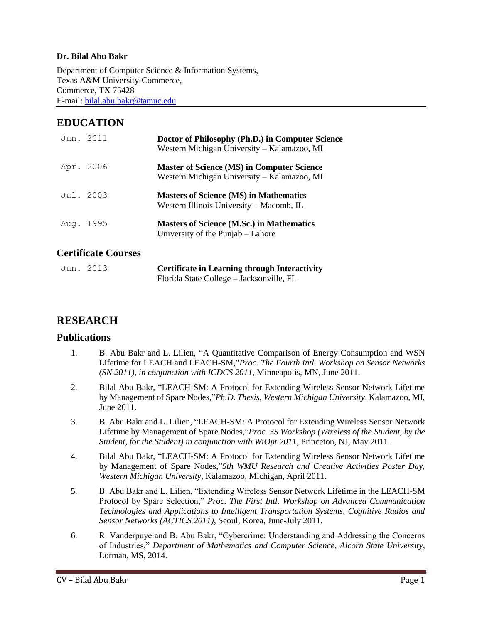#### **Dr. Bilal Abu Bakr**

Department of Computer Science & Information Systems, Texas A&M University-Commerce, Commerce, TX 75428 E-mail[: bilal.abu.bakr@tamuc.edu](mailto:bilal.abu.bakr@tamuc.edu)

# **EDUCATION**

| Jun. 2011 | Doctor of Philosophy (Ph.D.) in Computer Science<br>Western Michigan University – Kalamazoo, MI  |
|-----------|--------------------------------------------------------------------------------------------------|
| Apr. 2006 | <b>Master of Science (MS) in Computer Science</b><br>Western Michigan University – Kalamazoo, MI |
| Jul. 2003 | <b>Masters of Science (MS) in Mathematics</b><br>Western Illinois University - Macomb, IL        |
| Aug. 1995 | <b>Masters of Science (M.Sc.) in Mathematics</b><br>University of the Punjab – Lahore            |

## **Certificate Courses**

| Jun. 2013 | <b>Certificate in Learning through Interactivity</b> |
|-----------|------------------------------------------------------|
|           | Florida State College – Jacksonville, FL             |

## **RESEARCH**

### **Publications**

- 1. B. Abu Bakr and L. Lilien, "A Quantitative Comparison of Energy Consumption and WSN Lifetime for LEACH and LEACH-SM,"*Proc. The Fourth Intl. Workshop on Sensor Networks (SN 2011), in conjunction with ICDCS 2011*, Minneapolis, MN, June 2011.
- 2. Bilal Abu Bakr, "LEACH-SM: A Protocol for Extending Wireless Sensor Network Lifetime by Management of Spare Nodes,"*Ph.D. Thesis, Western Michigan University*. Kalamazoo, MI, June 2011.
- 3. B. Abu Bakr and L. Lilien, "LEACH-SM: A Protocol for Extending Wireless Sensor Network Lifetime by Management of Spare Nodes,"*Proc. 3S Workshop (Wireless of the Student, by the Student, for the Student) in conjunction with WiOpt 2011*, Princeton, NJ, May 2011.
- 4. Bilal Abu Bakr, "LEACH-SM: A Protocol for Extending Wireless Sensor Network Lifetime by Management of Spare Nodes,"*5th WMU Research and Creative Activities Poster Day, Western Michigan University*, Kalamazoo, Michigan, April 2011.
- 5. B. Abu Bakr and L. Lilien, "Extending Wireless Sensor Network Lifetime in the LEACH-SM Protocol by Spare Selection," *Proc. The First Intl. Workshop on Advanced Communication Technologies and Applications to Intelligent Transportation Systems, Cognitive Radios and Sensor Networks (ACTICS 2011)*, Seoul, Korea, June-July 2011.
- 6. R. Vanderpuye and B. Abu Bakr, "Cybercrime: Understanding and Addressing the Concerns of Industries," *Department of Mathematics and Computer Science, Alcorn State University*, Lorman, MS, 2014.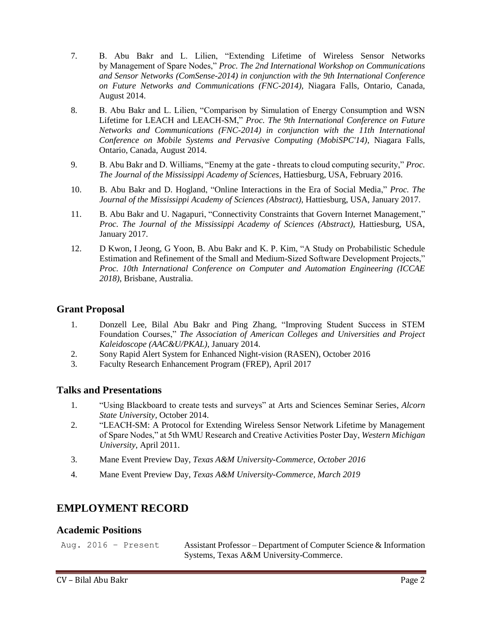- 7. B. Abu Bakr and L. Lilien, "Extending Lifetime of Wireless Sensor Networks by Management of Spare Nodes," *Proc. The 2nd International Workshop on Communications and Sensor Networks (ComSense-2014) in conjunction with the 9th International Conference on Future Networks and Communications (FNC-2014)*, Niagara Falls, Ontario, Canada, August 2014.
- 8. B. Abu Bakr and L. Lilien, "Comparison by Simulation of Energy Consumption and WSN Lifetime for LEACH and LEACH-SM," *Proc. The 9th International Conference on Future Networks and Communications (FNC-2014) in conjunction with the 11th International Conference on Mobile Systems and Pervasive Computing (MobiSPC'14)*, Niagara Falls, Ontario, Canada, August 2014.
- 9. B. Abu Bakr and D. Williams, "Enemy at the gate threats to cloud computing security," *Proc. The Journal of the Mississippi Academy of Sciences*, Hattiesburg, USA, February 2016.
- 10. B. Abu Bakr and D. Hogland, "Online Interactions in the Era of Social Media," *Proc. The Journal of the Mississippi Academy of Sciences (Abstract)*, Hattiesburg, USA, January 2017.
- 11. B. Abu Bakr and U. Nagapuri, "Connectivity Constraints that Govern Internet Management," *Proc. The Journal of the Mississippi Academy of Sciences (Abstract)*, Hattiesburg, USA, January 2017.
- 12. D Kwon, I Jeong, G Yoon, B. Abu Bakr and K. P. Kim, "A Study on Probabilistic Schedule Estimation and Refinement of the Small and Medium-Sized Software Development Projects," *Proc. 10th International Conference on Computer and Automation Engineering (ICCAE 2018)*, Brisbane, Australia.

### **Grant Proposal**

- 1. Donzell Lee, Bilal Abu Bakr and Ping Zhang, "Improving Student Success in STEM Foundation Courses," *The Association of American Colleges and Universities and Project Kaleidoscope (AAC&U/PKAL)*, January 2014.
- 2. Sony Rapid Alert System for Enhanced Night-vision (RASEN), October 2016
- 3. Faculty Research Enhancement Program (FREP), April 2017

### **Talks and Presentations**

- 1. "Using Blackboard to create tests and surveys" at Arts and Sciences Seminar Series, *Alcorn State University*, October 2014.
- 2. "LEACH-SM: A Protocol for Extending Wireless Sensor Network Lifetime by Management of Spare Nodes," at 5th WMU Research and Creative Activities Poster Day, *Western Michigan University*, April 2011.
- 3. Mane Event Preview Day, *Texas A&M University-Commerce, October 2016*
- 4. Mane Event Preview Day, *Texas A&M University-Commerce, March 2019*

# **EMPLOYMENT RECORD**

### **Academic Positions**

| Aug. 2016 - Present | Assistant Professor – Department of Computer Science & Information |
|---------------------|--------------------------------------------------------------------|
|                     | Systems, Texas A&M University-Commerce.                            |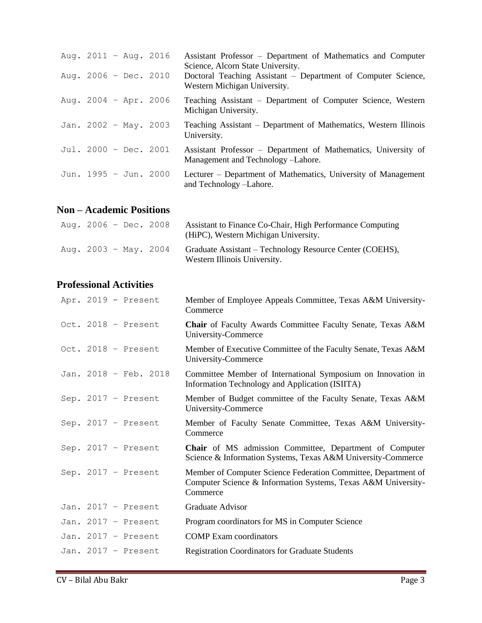| Aug. $2011 - Aug. 2016$<br>Aug. $2006 - Dec. 2010$ |  | Assistant Professor – Department of Mathematics and Computer<br>Science, Alcorn State University.<br>Doctoral Teaching Assistant – Department of Computer Science,<br>Western Michigan University. |
|----------------------------------------------------|--|----------------------------------------------------------------------------------------------------------------------------------------------------------------------------------------------------|
| Aug. $2004 - Apr. 2006$                            |  | Teaching Assistant – Department of Computer Science, Western<br>Michigan University.                                                                                                               |
| Jan. 2002 - May. 2003                              |  | Teaching Assistant – Department of Mathematics, Western Illinois<br>University.                                                                                                                    |
| Jul. 2000 - Dec. 2001                              |  | Assistant Professor – Department of Mathematics, University of<br>Management and Technology - Lahore.                                                                                              |
| Jun. 1995 - Jun. 2000                              |  | Lecturer – Department of Mathematics, University of Management<br>and Technology -Lahore.                                                                                                          |

# **Non – Academic Positions**

| Aug. $2006 - Dec. 2008$ |  | Assistant to Finance Co-Chair, High Performance Computing<br>(HiPC), Western Michigan University. |
|-------------------------|--|---------------------------------------------------------------------------------------------------|
| Aug. $2003 - May. 2004$ |  | Graduate Assistant – Technology Resource Center (COEHS),<br>Western Illinois University.          |

# **Professional Activities**

|  | Apr. 2019 - Present   | Member of Employee Appeals Committee, Texas A&M University-<br>Commerce                                                                     |
|--|-----------------------|---------------------------------------------------------------------------------------------------------------------------------------------|
|  | Oct. 2018 - Present   | <b>Chair</b> of Faculty Awards Committee Faculty Senate, Texas A&M<br>University-Commerce                                                   |
|  | Oct. 2018 - Present   | Member of Executive Committee of the Faculty Senate, Texas A&M<br>University-Commerce                                                       |
|  | Jan. 2018 - Feb. 2018 | Committee Member of International Symposium on Innovation in<br>Information Technology and Application (ISIITA)                             |
|  | Sep. $2017$ - Present | Member of Budget committee of the Faculty Senate, Texas A&M<br>University-Commerce                                                          |
|  | Sep. $2017$ - Present | Member of Faculty Senate Committee, Texas A&M University-<br>Commerce                                                                       |
|  | Sep. $2017$ - Present | <b>Chair</b> of MS admission Committee, Department of Computer<br>Science & Information Systems, Texas A&M University-Commerce              |
|  | Sep. $2017$ - Present | Member of Computer Science Federation Committee, Department of<br>Computer Science & Information Systems, Texas A&M University-<br>Commerce |
|  | Jan. 2017 - Present   | Graduate Advisor                                                                                                                            |
|  | Jan. 2017 - Present   | Program coordinators for MS in Computer Science                                                                                             |
|  | Jan. $2017$ - Present | <b>COMP</b> Exam coordinators                                                                                                               |
|  | Jan. 2017 - Present   | <b>Registration Coordinators for Graduate Students</b>                                                                                      |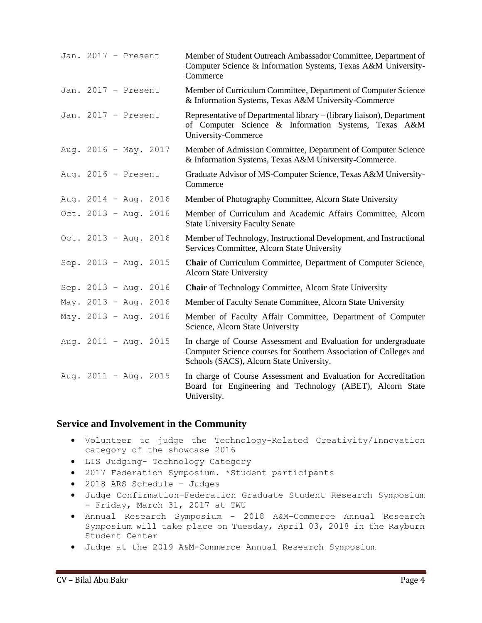| Jan. 2017 - Present   |  | Member of Student Outreach Ambassador Committee, Department of<br>Computer Science & Information Systems, Texas A&M University-<br>Commerce                                      |
|-----------------------|--|----------------------------------------------------------------------------------------------------------------------------------------------------------------------------------|
| Jan. 2017 - Present   |  | Member of Curriculum Committee, Department of Computer Science<br>& Information Systems, Texas A&M University-Commerce                                                           |
| Jan. 2017 - Present   |  | Representative of Departmental library – (library liaison), Department<br>of Computer Science & Information Systems, Texas A&M<br>University-Commerce                            |
| Aug. 2016 - May. 2017 |  | Member of Admission Committee, Department of Computer Science<br>& Information Systems, Texas A&M University-Commerce.                                                           |
| Aug. $2016$ - Present |  | Graduate Advisor of MS-Computer Science, Texas A&M University-<br>Commerce                                                                                                       |
| Aug. 2014 - Aug. 2016 |  | Member of Photography Committee, Alcorn State University                                                                                                                         |
| Oct. 2013 - Aug. 2016 |  | Member of Curriculum and Academic Affairs Committee, Alcorn<br><b>State University Faculty Senate</b>                                                                            |
| Oct. 2013 - Aug. 2016 |  | Member of Technology, Instructional Development, and Instructional<br>Services Committee, Alcorn State University                                                                |
| Sep. 2013 - Aug. 2015 |  | Chair of Curriculum Committee, Department of Computer Science,<br><b>Alcorn State University</b>                                                                                 |
| Sep. 2013 - Aug. 2016 |  | <b>Chair</b> of Technology Committee, Alcorn State University                                                                                                                    |
| May. 2013 - Aug. 2016 |  | Member of Faculty Senate Committee, Alcorn State University                                                                                                                      |
| May. 2013 - Aug. 2016 |  | Member of Faculty Affair Committee, Department of Computer<br>Science, Alcorn State University                                                                                   |
| Aug. 2011 - Aug. 2015 |  | In charge of Course Assessment and Evaluation for undergraduate<br>Computer Science courses for Southern Association of Colleges and<br>Schools (SACS), Alcorn State University. |
| Aug. 2011 - Aug. 2015 |  | In charge of Course Assessment and Evaluation for Accreditation<br>Board for Engineering and Technology (ABET), Alcorn State<br>University.                                      |

#### **Service and Involvement in the Community**

- Volunteer to judge the Technology-Related Creativity/Innovation category of the showcase 2016
- LIS Judging- Technology Category
- 2017 Federation Symposium. \*Student participants
- 2018 ARS Schedule Judges
- Judge Confirmation–Federation Graduate Student Research Symposium – Friday, March 31, 2017 at TWU
- Annual Research Symposium 2018 A&M-Commerce Annual Research Symposium will take place on Tuesday, April 03, 2018 in the Rayburn Student Center
- Judge at the 2019 A&M-Commerce Annual Research Symposium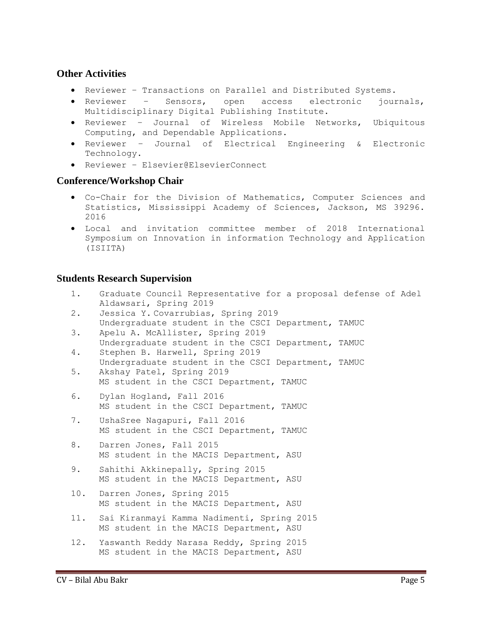### **Other Activities**

- Reviewer Transactions on Parallel and Distributed Systems.
- Reviewer Sensors, open access electronic journals, Multidisciplinary Digital Publishing Institute.
- Reviewer Journal of Wireless Mobile Networks, Ubiquitous Computing, and Dependable Applications.
- Reviewer Journal of Electrical Engineering & Electronic Technology.
- Reviewer Elsevier@ElsevierConnect

### **Conference/Workshop Chair**

- Co-Chair for the Division of Mathematics, Computer Sciences and Statistics, Mississippi Academy of Sciences, Jackson, MS 39296. 2016
- Local and invitation committee member of 2018 International Symposium on Innovation in information Technology and Application (ISIITA)

### **Students Research Supervision**

- 1. Graduate Council Representative for a proposal defense of Adel Aldawsari, Spring 2019
- 2. Jessica Y. Covarrubias, Spring 2019 Undergraduate student in the CSCI Department, TAMUC
- 3. Apelu A. McAllister, Spring 2019 Undergraduate student in the CSCI Department, TAMUC 4. Stephen B. Harwell, Spring 2019
- Undergraduate student in the CSCI Department, TAMUC 5. Akshay Patel, Spring 2019
	- MS student in the CSCI Department, TAMUC
- 6. Dylan Hogland, Fall 2016 MS student in the CSCI Department, TAMUC
- 7. UshaSree Nagapuri, Fall 2016 MS student in the CSCI Department, TAMUC
- 8. Darren Jones, Fall 2015 MS student in the MACIS Department, ASU
- 9. Sahithi Akkinepally, Spring 2015 MS student in the MACIS Department, ASU
- 10. Darren Jones, Spring 2015 MS student in the MACIS Department, ASU
- 11. Sai Kiranmayi Kamma Nadimenti, Spring 2015 MS student in the MACIS Department, ASU
- 12. Yaswanth Reddy Narasa Reddy, Spring 2015 MS student in the MACIS Department, ASU